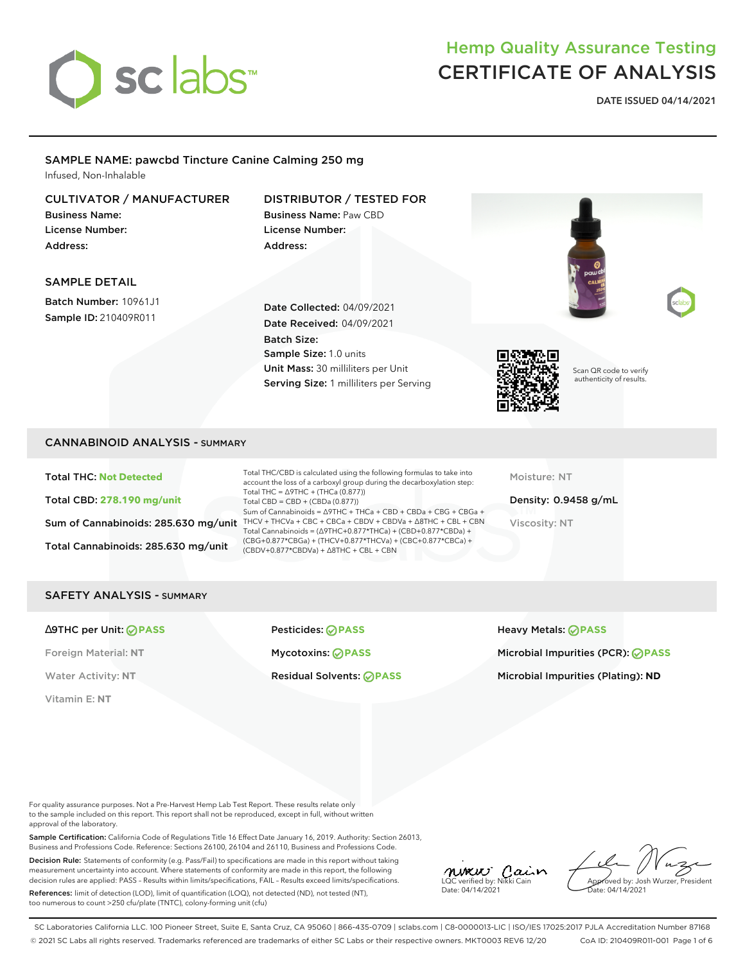

## Hemp Quality Assurance Testing CERTIFICATE OF ANALYSIS

**DATE ISSUED 04/14/2021**

#### SAMPLE NAME: pawcbd Tincture Canine Calming 250 mg Infused, Non-Inhalable

### CULTIVATOR / MANUFACTURER

Business Name: License Number: Address:

#### DISTRIBUTOR / TESTED FOR Business Name: Paw CBD License Number:

Address:

#### SAMPLE DETAIL

Batch Number: 10961J1 Sample ID: 210409R011

Date Collected: 04/09/2021 Date Received: 04/09/2021 Batch Size: Sample Size: 1.0 units Unit Mass: 30 milliliters per Unit Serving Size: 1 milliliters per Serving



Scan QR code to verify authenticity of results.

#### CANNABINOID ANALYSIS - SUMMARY

Total THC: **Not Detected** Total CBD: **278.190 mg/unit** Total Cannabinoids: 285.630 mg/unit

Sum of Cannabinoids: 285.630 mg/unit THCV + THCVa + CBC + CBCa + CBDV + CBDVa +  $\triangle$ 8THC + CBL + CBN Total THC/CBD is calculated using the following formulas to take into account the loss of a carboxyl group during the decarboxylation step: Total THC = ∆9THC + (THCa (0.877)) Total CBD = CBD + (CBDa (0.877)) Sum of Cannabinoids = ∆9THC + THCa + CBD + CBDa + CBG + CBGa + Total Cannabinoids = (∆9THC+0.877\*THCa) + (CBD+0.877\*CBDa) + (CBG+0.877\*CBGa) + (THCV+0.877\*THCVa) + (CBC+0.877\*CBCa) + (CBDV+0.877\*CBDVa) + ∆8THC + CBL + CBN

Moisture: NT

Density: 0.9458 g/mL Viscosity: NT

#### SAFETY ANALYSIS - SUMMARY

Vitamin E: **NT**

∆9THC per Unit: **PASS** Pesticides: **PASS** Heavy Metals: **PASS**

Foreign Material: **NT** Mycotoxins: **PASS** Microbial Impurities (PCR): **PASS** Water Activity: NT **Residual Solvents: PASS Microbial Impurities (Plating): ND** Microbial Impurities (Plating): ND

For quality assurance purposes. Not a Pre-Harvest Hemp Lab Test Report. These results relate only to the sample included on this report. This report shall not be reproduced, except in full, without written approval of the laboratory.

Sample Certification: California Code of Regulations Title 16 Effect Date January 16, 2019. Authority: Section 26013, Business and Professions Code. Reference: Sections 26100, 26104 and 26110, Business and Professions Code.

Decision Rule: Statements of conformity (e.g. Pass/Fail) to specifications are made in this report without taking measurement uncertainty into account. Where statements of conformity are made in this report, the following decision rules are applied: PASS – Results within limits/specifications, FAIL – Results exceed limits/specifications.

References: limit of detection (LOD), limit of quantification (LOQ), not detected (ND), not tested (NT), too numerous to count >250 cfu/plate (TNTC), colony-forming unit (cfu)

MUXUU Cain Date: 04/14/2021

Approved by: Josh Wurzer, President Date: 04/14/2021

SC Laboratories California LLC. 100 Pioneer Street, Suite E, Santa Cruz, CA 95060 | 866-435-0709 | sclabs.com | C8-0000013-LIC | ISO/IES 17025:2017 PJLA Accreditation Number 87168 © 2021 SC Labs all rights reserved. Trademarks referenced are trademarks of either SC Labs or their respective owners. MKT0003 REV6 12/20 CoA ID: 210409R011-001 Page 1 of 6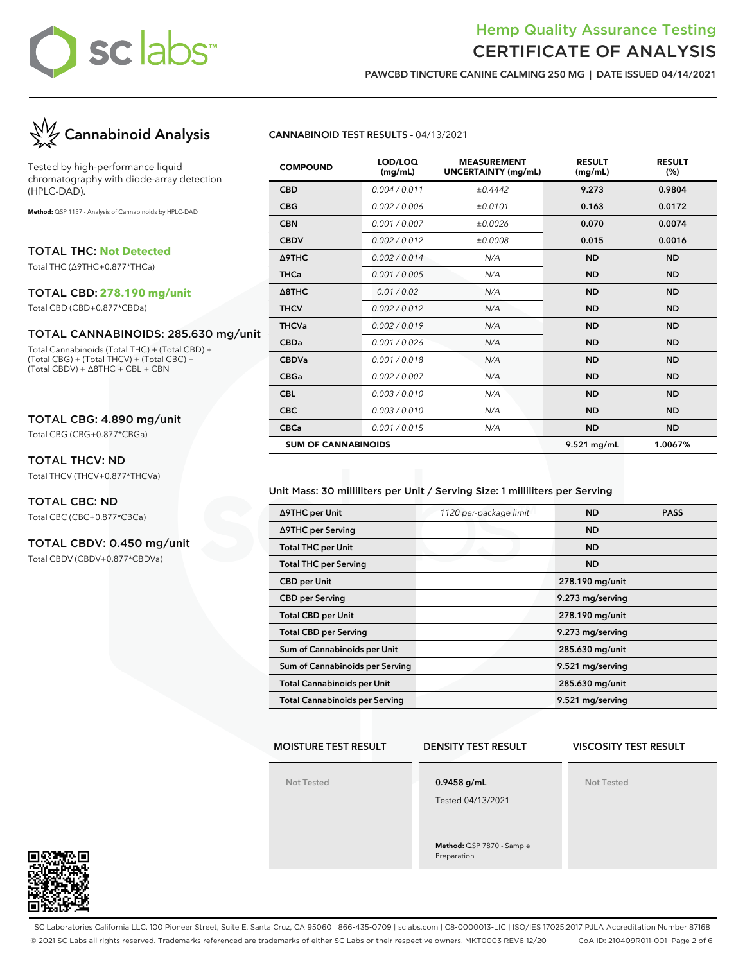# sclabs™

## Hemp Quality Assurance Testing CERTIFICATE OF ANALYSIS

**PAWCBD TINCTURE CANINE CALMING 250 MG | DATE ISSUED 04/14/2021**



Tested by high-performance liquid chromatography with diode-array detection (HPLC-DAD).

**Method:** QSP 1157 - Analysis of Cannabinoids by HPLC-DAD

TOTAL THC: **Not Detected**

Total THC (∆9THC+0.877\*THCa)

#### TOTAL CBD: **278.190 mg/unit**

Total CBD (CBD+0.877\*CBDa)

#### TOTAL CANNABINOIDS: 285.630 mg/unit

Total Cannabinoids (Total THC) + (Total CBD) + (Total CBG) + (Total THCV) + (Total CBC) + (Total CBDV) + ∆8THC + CBL + CBN

#### TOTAL CBG: 4.890 mg/unit

Total CBG (CBG+0.877\*CBGa)

#### TOTAL THCV: ND

Total THCV (THCV+0.877\*THCVa)

#### TOTAL CBC: ND

Total CBC (CBC+0.877\*CBCa)

#### TOTAL CBDV: 0.450 mg/unit

Total CBDV (CBDV+0.877\*CBDVa)

#### **CANNABINOID TEST RESULTS -** 04/13/2021

| <b>COMPOUND</b>            | LOD/LOQ<br>(mg/mL) | <b>MEASUREMENT</b><br><b>UNCERTAINTY (mg/mL)</b> | <b>RESULT</b><br>(mg/mL) | <b>RESULT</b><br>(%) |
|----------------------------|--------------------|--------------------------------------------------|--------------------------|----------------------|
| <b>CBD</b>                 | 0.004 / 0.011      | ±0.4442                                          | 9.273                    | 0.9804               |
| <b>CBG</b>                 | 0.002 / 0.006      | ±0.0101                                          | 0.163                    | 0.0172               |
| <b>CBN</b>                 | 0.001/0.007        | ±0.0026                                          | 0.070                    | 0.0074               |
| <b>CBDV</b>                | 0.002/0.012        | ±0.0008                                          | 0.015                    | 0.0016               |
| Δ9THC                      | 0.002/0.014        | N/A                                              | <b>ND</b>                | <b>ND</b>            |
| <b>THCa</b>                | 0.001 / 0.005      | N/A                                              | <b>ND</b>                | <b>ND</b>            |
| $\triangle$ 8THC           | 0.01 / 0.02        | N/A                                              | <b>ND</b>                | <b>ND</b>            |
| <b>THCV</b>                | 0.002 / 0.012      | N/A                                              | <b>ND</b>                | <b>ND</b>            |
| <b>THCVa</b>               | 0.002 / 0.019      | N/A                                              | <b>ND</b>                | <b>ND</b>            |
| <b>CBDa</b>                | 0.001 / 0.026      | N/A                                              | <b>ND</b>                | <b>ND</b>            |
| <b>CBDVa</b>               | 0.001/0.018        | N/A                                              | <b>ND</b>                | <b>ND</b>            |
| <b>CBGa</b>                | 0.002 / 0.007      | N/A                                              | <b>ND</b>                | <b>ND</b>            |
| <b>CBL</b>                 | 0.003/0.010        | N/A                                              | <b>ND</b>                | <b>ND</b>            |
| <b>CBC</b>                 | 0.003/0.010        | N/A                                              | <b>ND</b>                | <b>ND</b>            |
| <b>CBCa</b>                | 0.001 / 0.015      | N/A                                              | <b>ND</b>                | <b>ND</b>            |
| <b>SUM OF CANNABINOIDS</b> |                    |                                                  | 9.521 mg/mL              | 1.0067%              |

#### Unit Mass: 30 milliliters per Unit / Serving Size: 1 milliliters per Serving

| ∆9THC per Unit                        | 1120 per-package limit | <b>ND</b>        | <b>PASS</b> |
|---------------------------------------|------------------------|------------------|-------------|
| ∆9THC per Serving                     |                        | <b>ND</b>        |             |
| <b>Total THC per Unit</b>             |                        | <b>ND</b>        |             |
| <b>Total THC per Serving</b>          |                        | <b>ND</b>        |             |
| <b>CBD</b> per Unit                   |                        | 278.190 mg/unit  |             |
| <b>CBD per Serving</b>                |                        | 9.273 mg/serving |             |
| <b>Total CBD per Unit</b>             |                        | 278.190 mg/unit  |             |
| <b>Total CBD per Serving</b>          |                        | 9.273 mg/serving |             |
| Sum of Cannabinoids per Unit          |                        | 285.630 mg/unit  |             |
| Sum of Cannabinoids per Serving       |                        | 9.521 mg/serving |             |
| <b>Total Cannabinoids per Unit</b>    |                        | 285.630 mg/unit  |             |
| <b>Total Cannabinoids per Serving</b> |                        | 9.521 mg/serving |             |

#### **MOISTURE TEST RESULT**

#### **DENSITY TEST RESULT**

### **VISCOSITY TEST RESULT**

**Not Tested**

**0.9458 g/mL**

Tested 04/13/2021

**Method:** QSP 7870 - Sample Preparation

**Not Tested**



SC Laboratories California LLC. 100 Pioneer Street, Suite E, Santa Cruz, CA 95060 | 866-435-0709 | sclabs.com | C8-0000013-LIC | ISO/IES 17025:2017 PJLA Accreditation Number 87168 © 2021 SC Labs all rights reserved. Trademarks referenced are trademarks of either SC Labs or their respective owners. MKT0003 REV6 12/20 CoA ID: 210409R011-001 Page 2 of 6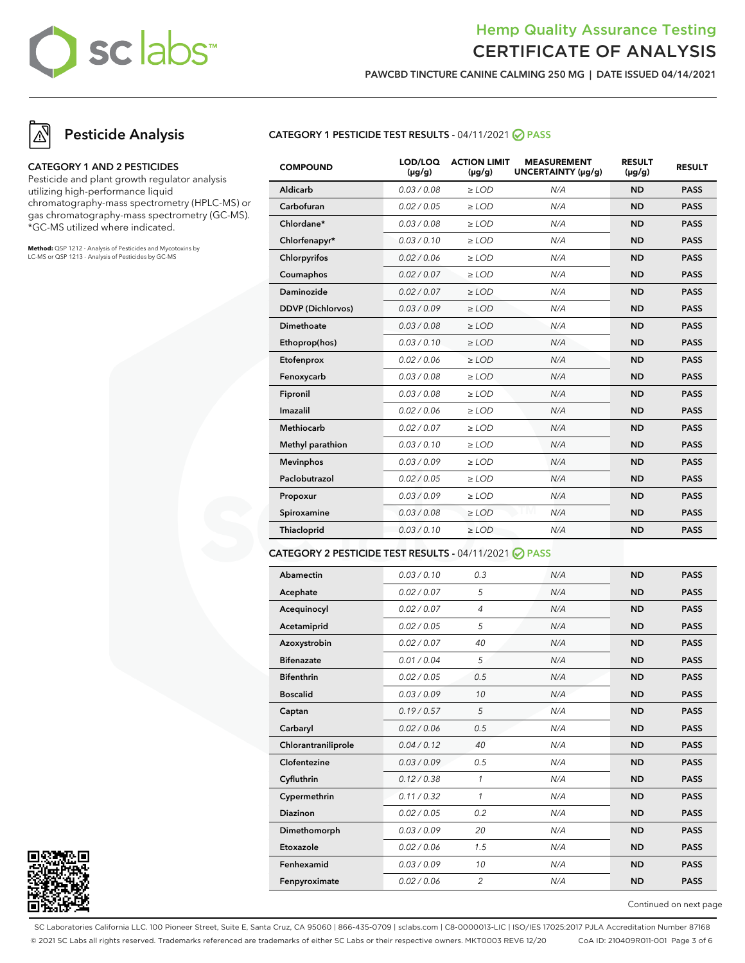# sc labs™

## Hemp Quality Assurance Testing CERTIFICATE OF ANALYSIS

**PAWCBD TINCTURE CANINE CALMING 250 MG | DATE ISSUED 04/14/2021**

## **Pesticide Analysis**

#### **CATEGORY 1 AND 2 PESTICIDES**

Pesticide and plant growth regulator analysis utilizing high-performance liquid chromatography-mass spectrometry (HPLC-MS) or gas chromatography-mass spectrometry (GC-MS). \*GC-MS utilized where indicated.

**Method:** QSP 1212 - Analysis of Pesticides and Mycotoxins by LC-MS or QSP 1213 - Analysis of Pesticides by GC-MS

#### **CATEGORY 1 PESTICIDE TEST RESULTS -** 04/11/2021 **PASS**

| <b>COMPOUND</b>          | LOD/LOQ<br>$(\mu g/g)$ | <b>ACTION LIMIT</b><br>$(\mu q/q)$ | <b>MEASUREMENT</b><br>UNCERTAINTY (µg/g) | <b>RESULT</b><br>$(\mu g/g)$ | <b>RESULT</b> |
|--------------------------|------------------------|------------------------------------|------------------------------------------|------------------------------|---------------|
| Aldicarb                 | 0.03 / 0.08            | $\ge$ LOD                          | N/A                                      | <b>ND</b>                    | <b>PASS</b>   |
| Carbofuran               | 0.02 / 0.05            | $\ge$ LOD                          | N/A                                      | <b>ND</b>                    | <b>PASS</b>   |
| Chlordane*               | 0.03 / 0.08            | $\ge$ LOD                          | N/A                                      | <b>ND</b>                    | <b>PASS</b>   |
| Chlorfenapyr*            | 0.03/0.10              | $>$ LOD                            | N/A                                      | <b>ND</b>                    | <b>PASS</b>   |
| Chlorpyrifos             | 0.02 / 0.06            | $\ge$ LOD                          | N/A                                      | <b>ND</b>                    | <b>PASS</b>   |
| Coumaphos                | 0.02 / 0.07            | $\ge$ LOD                          | N/A                                      | <b>ND</b>                    | <b>PASS</b>   |
| Daminozide               | 0.02/0.07              | $>$ LOD                            | N/A                                      | <b>ND</b>                    | <b>PASS</b>   |
| <b>DDVP</b> (Dichlorvos) | 0.03/0.09              | $\ge$ LOD                          | N/A                                      | <b>ND</b>                    | <b>PASS</b>   |
| Dimethoate               | 0.03 / 0.08            | $\ge$ LOD                          | N/A                                      | <b>ND</b>                    | <b>PASS</b>   |
| Ethoprop(hos)            | 0.03/0.10              | $\ge$ LOD                          | N/A                                      | <b>ND</b>                    | <b>PASS</b>   |
| Etofenprox               | 0.02 / 0.06            | $\ge$ LOD                          | N/A                                      | <b>ND</b>                    | <b>PASS</b>   |
| Fenoxycarb               | 0.03 / 0.08            | $\ge$ LOD                          | N/A                                      | <b>ND</b>                    | <b>PASS</b>   |
| Fipronil                 | 0.03 / 0.08            | $\ge$ LOD                          | N/A                                      | <b>ND</b>                    | <b>PASS</b>   |
| Imazalil                 | 0.02 / 0.06            | $\ge$ LOD                          | N/A                                      | <b>ND</b>                    | <b>PASS</b>   |
| <b>Methiocarb</b>        | 0.02 / 0.07            | $>$ LOD                            | N/A                                      | <b>ND</b>                    | <b>PASS</b>   |
| Methyl parathion         | 0.03/0.10              | $\ge$ LOD                          | N/A                                      | <b>ND</b>                    | <b>PASS</b>   |
| <b>Mevinphos</b>         | 0.03/0.09              | $\ge$ LOD                          | N/A                                      | <b>ND</b>                    | <b>PASS</b>   |
| Paclobutrazol            | 0.02 / 0.05            | $\ge$ LOD                          | N/A                                      | <b>ND</b>                    | <b>PASS</b>   |
| Propoxur                 | 0.03/0.09              | $\ge$ LOD                          | N/A                                      | <b>ND</b>                    | <b>PASS</b>   |
| Spiroxamine              | 0.03 / 0.08            | $\ge$ LOD                          | N/A                                      | <b>ND</b>                    | <b>PASS</b>   |
| Thiacloprid              | 0.03/0.10              | $\ge$ LOD                          | N/A                                      | <b>ND</b>                    | <b>PASS</b>   |
|                          |                        |                                    |                                          |                              |               |

#### **CATEGORY 2 PESTICIDE TEST RESULTS -** 04/11/2021 **PASS**

| Abamectin           | 0.03/0.10   | 0.3            | N/A | <b>ND</b> | <b>PASS</b> |
|---------------------|-------------|----------------|-----|-----------|-------------|
| Acephate            | 0.02 / 0.07 | 5              | N/A | <b>ND</b> | <b>PASS</b> |
| Acequinocyl         | 0.02 / 0.07 | $\overline{4}$ | N/A | <b>ND</b> | <b>PASS</b> |
| Acetamiprid         | 0.02 / 0.05 | 5              | N/A | <b>ND</b> | <b>PASS</b> |
| Azoxystrobin        | 0.02 / 0.07 | 40             | N/A | <b>ND</b> | <b>PASS</b> |
| <b>Bifenazate</b>   | 0.01 / 0.04 | 5              | N/A | <b>ND</b> | <b>PASS</b> |
| <b>Bifenthrin</b>   | 0.02 / 0.05 | 0.5            | N/A | <b>ND</b> | <b>PASS</b> |
| <b>Boscalid</b>     | 0.03/0.09   | 10             | N/A | <b>ND</b> | <b>PASS</b> |
| Captan              | 0.19/0.57   | 5              | N/A | <b>ND</b> | <b>PASS</b> |
| Carbaryl            | 0.02 / 0.06 | 0.5            | N/A | <b>ND</b> | <b>PASS</b> |
| Chlorantraniliprole | 0.04 / 0.12 | 40             | N/A | <b>ND</b> | <b>PASS</b> |
| Clofentezine        | 0.03/0.09   | 0.5            | N/A | <b>ND</b> | <b>PASS</b> |
| Cyfluthrin          | 0.12/0.38   | 1              | N/A | <b>ND</b> | <b>PASS</b> |
| Cypermethrin        | 0.11/0.32   | 1              | N/A | <b>ND</b> | <b>PASS</b> |
| <b>Diazinon</b>     | 0.02 / 0.05 | 0.2            | N/A | <b>ND</b> | <b>PASS</b> |
| Dimethomorph        | 0.03/0.09   | 20             | N/A | <b>ND</b> | <b>PASS</b> |
| Etoxazole           | 0.02 / 0.06 | 1.5            | N/A | <b>ND</b> | <b>PASS</b> |
| Fenhexamid          | 0.03/0.09   | 10             | N/A | <b>ND</b> | <b>PASS</b> |
| Fenpyroximate       | 0.02 / 0.06 | $\overline{2}$ | N/A | <b>ND</b> | <b>PASS</b> |
|                     |             |                |     |           |             |



Continued on next page

SC Laboratories California LLC. 100 Pioneer Street, Suite E, Santa Cruz, CA 95060 | 866-435-0709 | sclabs.com | C8-0000013-LIC | ISO/IES 17025:2017 PJLA Accreditation Number 87168 © 2021 SC Labs all rights reserved. Trademarks referenced are trademarks of either SC Labs or their respective owners. MKT0003 REV6 12/20 CoA ID: 210409R011-001 Page 3 of 6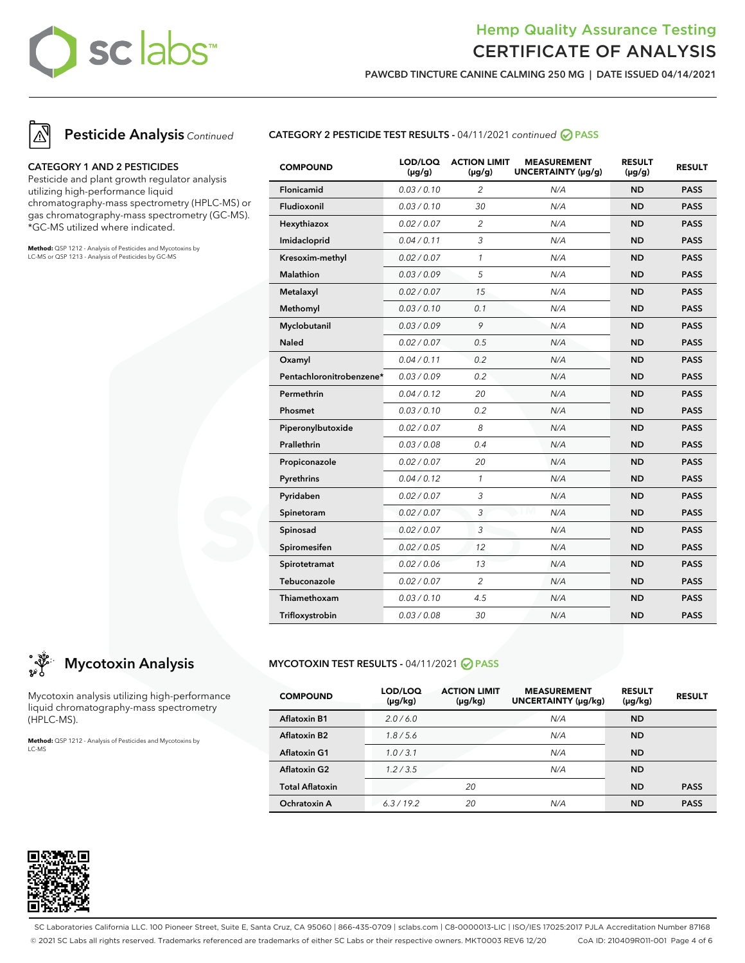# sc labs™

## Hemp Quality Assurance Testing CERTIFICATE OF ANALYSIS

**PAWCBD TINCTURE CANINE CALMING 250 MG | DATE ISSUED 04/14/2021**





#### **CATEGORY 1 AND 2 PESTICIDES**

Pesticide and plant growth regulator analysis utilizing high-performance liquid chromatography-mass spectrometry (HPLC-MS) or gas chromatography-mass spectrometry (GC-MS). \*GC-MS utilized where indicated.

**Method:** QSP 1212 - Analysis of Pesticides and Mycotoxins by LC-MS or QSP 1213 - Analysis of Pesticides by GC-MS



| ္သံ <sup>မွာ</sup> Mycotoxin Analysis |
|---------------------------------------|

Mycotoxin analysis utilizing high-performance liquid chromatography-mass spectrometry (HPLC-MS).

**Method:** QSP 1212 - Analysis of Pesticides and Mycotoxins by LC-MS

| <b>COMPOUND</b>          | LOD/LOQ<br>$(\mu g/g)$ | <b>ACTION LIMIT</b><br>$(\mu g/g)$ | <b>MEASUREMENT</b><br>UNCERTAINTY (µg/g) | <b>RESULT</b><br>$(\mu g/g)$ | <b>RESULT</b> |
|--------------------------|------------------------|------------------------------------|------------------------------------------|------------------------------|---------------|
| <b>Flonicamid</b>        | 0.03/0.10              | $\overline{2}$                     | N/A                                      | <b>ND</b>                    | <b>PASS</b>   |
| Fludioxonil              | 0.03 / 0.10            | 30                                 | N/A                                      | <b>ND</b>                    | <b>PASS</b>   |
| Hexythiazox              | 0.02 / 0.07            | 2                                  | N/A                                      | <b>ND</b>                    | <b>PASS</b>   |
| Imidacloprid             | 0.04 / 0.11            | 3                                  | N/A                                      | <b>ND</b>                    | <b>PASS</b>   |
| Kresoxim-methyl          | 0.02 / 0.07            | $\mathbf{1}$                       | N/A                                      | <b>ND</b>                    | <b>PASS</b>   |
| <b>Malathion</b>         | 0.03 / 0.09            | 5                                  | N/A                                      | <b>ND</b>                    | <b>PASS</b>   |
| Metalaxyl                | 0.02 / 0.07            | 15                                 | N/A                                      | <b>ND</b>                    | <b>PASS</b>   |
| Methomyl                 | 0.03 / 0.10            | 0.1                                | N/A                                      | <b>ND</b>                    | <b>PASS</b>   |
| Myclobutanil             | 0.03 / 0.09            | 9                                  | N/A                                      | <b>ND</b>                    | <b>PASS</b>   |
| <b>Naled</b>             | 0.02 / 0.07            | 0.5                                | N/A                                      | <b>ND</b>                    | <b>PASS</b>   |
| Oxamyl                   | 0.04 / 0.11            | 0.2                                | N/A                                      | <b>ND</b>                    | <b>PASS</b>   |
| Pentachloronitrobenzene* | 0.03 / 0.09            | 0.2                                | N/A                                      | <b>ND</b>                    | <b>PASS</b>   |
| Permethrin               | 0.04 / 0.12            | 20                                 | N/A                                      | <b>ND</b>                    | <b>PASS</b>   |
| Phosmet                  | 0.03 / 0.10            | 0.2                                | N/A                                      | <b>ND</b>                    | <b>PASS</b>   |
| Piperonylbutoxide        | 0.02 / 0.07            | 8                                  | N/A                                      | <b>ND</b>                    | <b>PASS</b>   |
| Prallethrin              | 0.03 / 0.08            | 0.4                                | N/A                                      | <b>ND</b>                    | <b>PASS</b>   |
| Propiconazole            | 0.02 / 0.07            | 20                                 | N/A                                      | <b>ND</b>                    | <b>PASS</b>   |
| Pyrethrins               | 0.04 / 0.12            | $\mathbf{1}$                       | N/A                                      | <b>ND</b>                    | <b>PASS</b>   |
| Pyridaben                | 0.02 / 0.07            | 3                                  | N/A                                      | <b>ND</b>                    | <b>PASS</b>   |
| Spinetoram               | 0.02 / 0.07            | 3                                  | N/A                                      | <b>ND</b>                    | <b>PASS</b>   |
| Spinosad                 | 0.02 / 0.07            | 3                                  | N/A                                      | <b>ND</b>                    | <b>PASS</b>   |
| Spiromesifen             | 0.02 / 0.05            | 12                                 | N/A                                      | <b>ND</b>                    | <b>PASS</b>   |
| Spirotetramat            | 0.02 / 0.06            | 13                                 | N/A                                      | <b>ND</b>                    | <b>PASS</b>   |
| Tebuconazole             | 0.02 / 0.07            | 2                                  | N/A                                      | <b>ND</b>                    | <b>PASS</b>   |
| Thiamethoxam             | 0.03 / 0.10            | 4.5                                | N/A                                      | <b>ND</b>                    | <b>PASS</b>   |
| Trifloxystrobin          | 0.03 / 0.08            | 30                                 | N/A                                      | <b>ND</b>                    | <b>PASS</b>   |
|                          |                        |                                    |                                          |                              |               |

**CATEGORY 2 PESTICIDE TEST RESULTS -** 04/11/2021 continued **PASS**

#### **MYCOTOXIN TEST RESULTS - 04/11/2021 ⊘ PASS**

| <b>COMPOUND</b>        | LOD/LOQ<br>$(\mu g/kg)$ | <b>ACTION LIMIT</b><br>$(\mu g/kg)$ | <b>MEASUREMENT</b><br>UNCERTAINTY (µg/kg) | <b>RESULT</b><br>$(\mu g/kg)$ | <b>RESULT</b> |
|------------------------|-------------------------|-------------------------------------|-------------------------------------------|-------------------------------|---------------|
| <b>Aflatoxin B1</b>    | 2.0/6.0                 |                                     | N/A                                       | <b>ND</b>                     |               |
| <b>Aflatoxin B2</b>    | 1.8/5.6                 |                                     | N/A                                       | <b>ND</b>                     |               |
| <b>Aflatoxin G1</b>    | 1.0/3.1                 |                                     | N/A                                       | <b>ND</b>                     |               |
| <b>Aflatoxin G2</b>    | 1.2 / 3.5               |                                     | N/A                                       | <b>ND</b>                     |               |
| <b>Total Aflatoxin</b> |                         | 20                                  |                                           | <b>ND</b>                     | <b>PASS</b>   |
| Ochratoxin A           | 6.3/19.2                | 20                                  | N/A                                       | ND                            | <b>PASS</b>   |



SC Laboratories California LLC. 100 Pioneer Street, Suite E, Santa Cruz, CA 95060 | 866-435-0709 | sclabs.com | C8-0000013-LIC | ISO/IES 17025:2017 PJLA Accreditation Number 87168 © 2021 SC Labs all rights reserved. Trademarks referenced are trademarks of either SC Labs or their respective owners. MKT0003 REV6 12/20 CoA ID: 210409R011-001 Page 4 of 6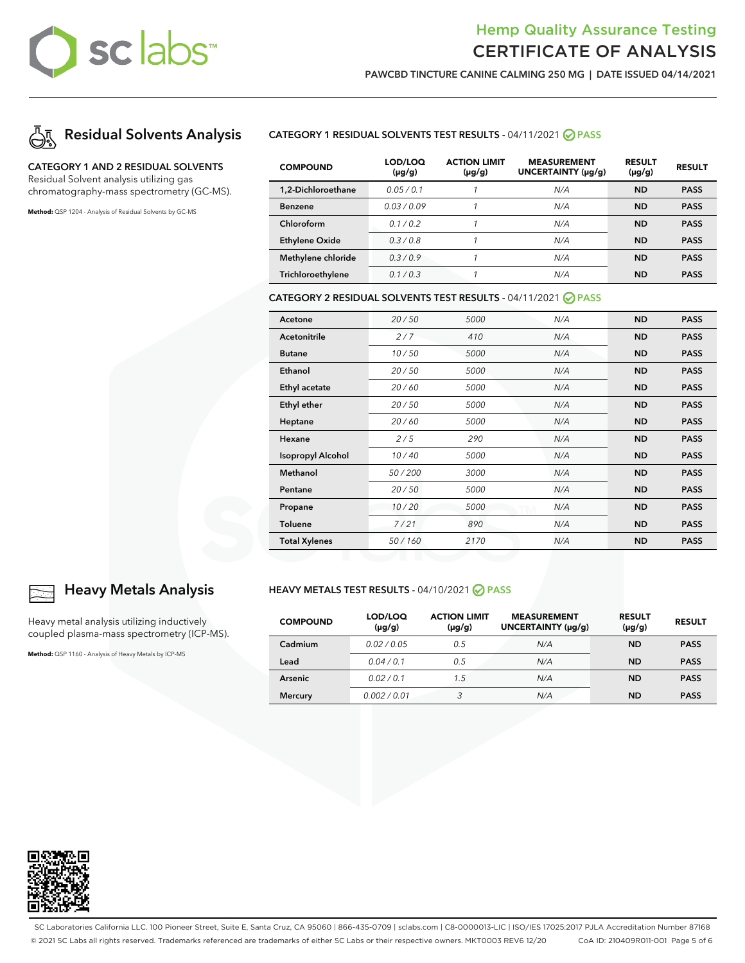# sclabs™

## Hemp Quality Assurance Testing CERTIFICATE OF ANALYSIS

**PAWCBD TINCTURE CANINE CALMING 250 MG | DATE ISSUED 04/14/2021**



### **CATEGORY 1 AND 2 RESIDUAL SOLVENTS**

Residual Solvent analysis utilizing gas chromatography-mass spectrometry (GC-MS).

**Method:** QSP 1204 - Analysis of Residual Solvents by GC-MS

#### **CATEGORY 1 RESIDUAL SOLVENTS TEST RESULTS -** 04/11/2021 **PASS**

| <b>COMPOUND</b>       | LOD/LOQ<br>$(\mu g/g)$ | <b>ACTION LIMIT</b><br>$(\mu g/g)$ | <b>MEASUREMENT</b><br>UNCERTAINTY (µq/q) | <b>RESULT</b><br>$(\mu g/g)$ | <b>RESULT</b> |
|-----------------------|------------------------|------------------------------------|------------------------------------------|------------------------------|---------------|
| 1.2-Dichloroethane    | 0.05/0.1               |                                    | N/A                                      | <b>ND</b>                    | <b>PASS</b>   |
| <b>Benzene</b>        | 0.03/0.09              |                                    | N/A                                      | <b>ND</b>                    | <b>PASS</b>   |
| Chloroform            | 0.1 / 0.2              |                                    | N/A                                      | <b>ND</b>                    | <b>PASS</b>   |
| <b>Ethylene Oxide</b> | 0.3/0.8                |                                    | N/A                                      | <b>ND</b>                    | <b>PASS</b>   |
| Methylene chloride    | 0.3/0.9                |                                    | N/A                                      | <b>ND</b>                    | <b>PASS</b>   |
| Trichloroethylene     | 0.1/0.3                |                                    | N/A                                      | ND                           | <b>PASS</b>   |

#### **CATEGORY 2 RESIDUAL SOLVENTS TEST RESULTS -** 04/11/2021 **PASS**

| Acetone                  | 20/50  | 5000 | N/A | <b>ND</b> | <b>PASS</b> |
|--------------------------|--------|------|-----|-----------|-------------|
| Acetonitrile             | 2/7    | 410  | N/A | <b>ND</b> | <b>PASS</b> |
| <b>Butane</b>            | 10/50  | 5000 | N/A | <b>ND</b> | <b>PASS</b> |
| Ethanol                  | 20/50  | 5000 | N/A | <b>ND</b> | <b>PASS</b> |
| Ethyl acetate            | 20/60  | 5000 | N/A | <b>ND</b> | <b>PASS</b> |
| Ethyl ether              | 20/50  | 5000 | N/A | <b>ND</b> | <b>PASS</b> |
| Heptane                  | 20/60  | 5000 | N/A | <b>ND</b> | <b>PASS</b> |
| Hexane                   | 2/5    | 290  | N/A | <b>ND</b> | <b>PASS</b> |
| <b>Isopropyl Alcohol</b> | 10/40  | 5000 | N/A | <b>ND</b> | <b>PASS</b> |
| Methanol                 | 50/200 | 3000 | N/A | <b>ND</b> | <b>PASS</b> |
| Pentane                  | 20/50  | 5000 | N/A | <b>ND</b> | <b>PASS</b> |
| Propane                  | 10/20  | 5000 | N/A | <b>ND</b> | <b>PASS</b> |
| Toluene                  | 7/21   | 890  | N/A | <b>ND</b> | <b>PASS</b> |
| <b>Total Xylenes</b>     | 50/160 | 2170 | N/A | <b>ND</b> | <b>PASS</b> |

### **Heavy Metals Analysis**

Heavy metal analysis utilizing inductively coupled plasma-mass spectrometry (ICP-MS).

**Method:** QSP 1160 - Analysis of Heavy Metals by ICP-MS

#### **HEAVY METALS TEST RESULTS - 04/10/2021 ⊘ PASS**

| <b>COMPOUND</b> | LOD/LOQ<br>$(\mu g/g)$ | <b>ACTION LIMIT</b><br>$(\mu g/g)$ | <b>MEASUREMENT</b><br>UNCERTAINTY (µq/q) | <b>RESULT</b><br>$(\mu g/g)$ | <b>RESULT</b> |
|-----------------|------------------------|------------------------------------|------------------------------------------|------------------------------|---------------|
| Cadmium         | 0.02/0.05              | 0.5                                | N/A                                      | <b>ND</b>                    | <b>PASS</b>   |
| Lead            | 0.04/0.1               | 0.5                                | N/A                                      | <b>ND</b>                    | <b>PASS</b>   |
| <b>Arsenic</b>  | 0.02/0.1               | 1.5                                | N/A                                      | <b>ND</b>                    | <b>PASS</b>   |
| <b>Mercury</b>  | 0.002/0.01             | 3                                  | N/A                                      | <b>ND</b>                    | <b>PASS</b>   |



SC Laboratories California LLC. 100 Pioneer Street, Suite E, Santa Cruz, CA 95060 | 866-435-0709 | sclabs.com | C8-0000013-LIC | ISO/IES 17025:2017 PJLA Accreditation Number 87168 © 2021 SC Labs all rights reserved. Trademarks referenced are trademarks of either SC Labs or their respective owners. MKT0003 REV6 12/20 CoA ID: 210409R011-001 Page 5 of 6